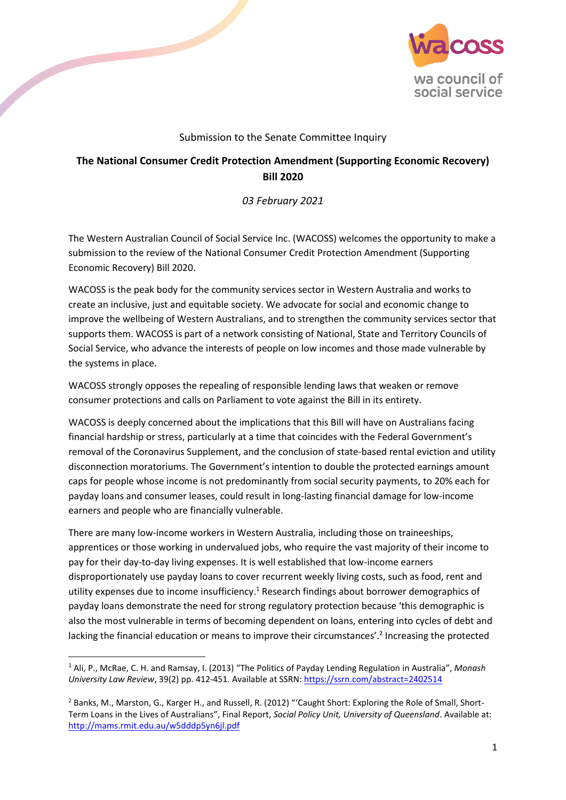

## Submission to the Senate Committee Inquiry

## **The National Consumer Credit Protection Amendment (Supporting Economic Recovery) Bill 2020**

*03 February 2021*

The Western Australian Council of Social Service Inc. (WACOSS) welcomes the opportunity to make a submission to the review of the National Consumer Credit Protection Amendment (Supporting Economic Recovery) Bill 2020.

WACOSS is the peak body for the community services sector in Western Australia and works to create an inclusive, just and equitable society. We advocate for social and economic change to improve the wellbeing of Western Australians, and to strengthen the community services sector that supports them. WACOSS is part of a network consisting of National, State and Territory Councils of Social Service, who advance the interests of people on low incomes and those made vulnerable by the systems in place.

WACOSS strongly opposes the repealing of responsible lending laws that weaken or remove consumer protections and calls on Parliament to vote against the Bill in its entirety.

WACOSS is deeply concerned about the implications that this Bill will have on Australians facing financial hardship or stress, particularly at a time that coincides with the Federal Government's removal of the Coronavirus Supplement, and the conclusion of state-based rental eviction and utility disconnection moratoriums. The Government's intention to double the protected earnings amount caps for people whose income is not predominantly from social security payments, to 20% each for payday loans and consumer leases, could result in long-lasting financial damage for low-income earners and people who are financially vulnerable.

There are many low-income workers in Western Australia, including those on traineeships, apprentices or those working in undervalued jobs, who require the vast majority of their income to pay for their day-to-day living expenses. It is well established that low-income earners disproportionately use payday loans to cover recurrent weekly living costs, such as food, rent and utility expenses due to income insufficiency. <sup>1</sup> Research findings about borrower demographics of payday loans demonstrate the need for strong regulatory protection because 'this demographic is also the most vulnerable in terms of becoming dependent on loans, entering into cycles of debt and lacking the financial education or means to improve their circumstances'.<sup>2</sup> Increasing the protected

**.** 

<sup>1</sup> Ali, P., McRae, C. H. and Ramsay, I. (2013) "The Politics of Payday Lending Regulation in Australia", *Monash University Law Review*, 39(2) pp. 412-451. Available at SSRN:<https://ssrn.com/abstract=2402514>

<sup>&</sup>lt;sup>2</sup> Banks, M., Marston, G., Karger H., and Russell, R. (2012) "'Caught Short: Exploring the Role of Small, Short-Term Loans in the Lives of Australians", Final Report, *Social Policy Unit, University of Queensland*. Available at: <http://mams.rmit.edu.au/w5dddp5yn6jl.pdf>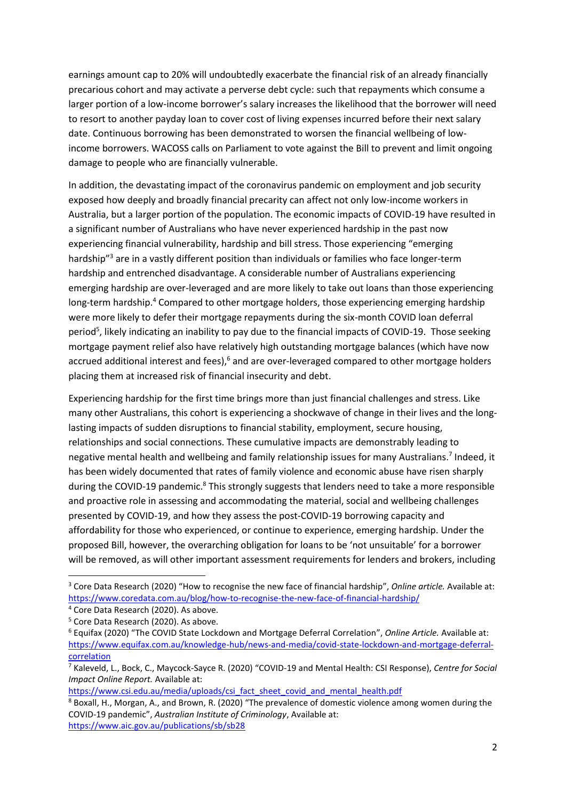earnings amount cap to 20% will undoubtedly exacerbate the financial risk of an already financially precarious cohort and may activate a perverse debt cycle: such that repayments which consume a larger portion of a low-income borrower's salary increases the likelihood that the borrower will need to resort to another payday loan to cover cost of living expenses incurred before their next salary date. Continuous borrowing has been demonstrated to worsen the financial wellbeing of lowincome borrowers. WACOSS calls on Parliament to vote against the Bill to prevent and limit ongoing damage to people who are financially vulnerable.

In addition, the devastating impact of the coronavirus pandemic on employment and job security exposed how deeply and broadly financial precarity can affect not only low-income workers in Australia, but a larger portion of the population. The economic impacts of COVID-19 have resulted in a significant number of Australians who have never experienced hardship in the past now experiencing financial vulnerability, hardship and bill stress. Those experiencing "emerging hardship"<sup>3</sup> are in a vastly different position than individuals or families who face longer-term hardship and entrenched disadvantage. A considerable number of Australians experiencing emerging hardship are over-leveraged and are more likely to take out loans than those experiencing long-term hardship.<sup>4</sup> Compared to other mortgage holders, those experiencing emerging hardship were more likely to defer their mortgage repayments during the six-month COVID loan deferral period<sup>5</sup>, likely indicating an inability to pay due to the financial impacts of COVID-19. Those seeking mortgage payment relief also have relatively high outstanding mortgage balances (which have now accrued additional interest and fees), $<sup>6</sup>$  and are over-leveraged compared to other mortgage holders</sup> placing them at increased risk of financial insecurity and debt.

Experiencing hardship for the first time brings more than just financial challenges and stress. Like many other Australians, this cohort is experiencing a shockwave of change in their lives and the longlasting impacts of sudden disruptions to financial stability, employment, secure housing, relationships and social connections. These cumulative impacts are demonstrably leading to negative mental health and wellbeing and family relationship issues for many Australians.<sup>7</sup> Indeed, it has been widely documented that rates of family violence and economic abuse have risen sharply during the COVID-19 pandemic.<sup>8</sup> This strongly suggests that lenders need to take a more responsible and proactive role in assessing and accommodating the material, social and wellbeing challenges presented by COVID-19, and how they assess the post-COVID-19 borrowing capacity and affordability for those who experienced, or continue to experience, emerging hardship. Under the proposed Bill, however, the overarching obligation for loans to be 'not unsuitable' for a borrower will be removed, as will other important assessment requirements for lenders and brokers, including

1

[https://www.csi.edu.au/media/uploads/csi\\_fact\\_sheet\\_covid\\_and\\_mental\\_health.pdf](https://www.csi.edu.au/media/uploads/csi_fact_sheet_covid_and_mental_health.pdf)

<sup>3</sup> Core Data Research (2020) "How to recognise the new face of financial hardship", *Online article.* Available at: <https://www.coredata.com.au/blog/how-to-recognise-the-new-face-of-financial-hardship/>

<sup>4</sup> Core Data Research (2020). As above.

<sup>5</sup> Core Data Research (2020). As above.

<sup>6</sup> Equifax (2020) "The COVID State Lockdown and Mortgage Deferral Correlation", *Online Article.* Available at: [https://www.equifax.com.au/knowledge-hub/news-and-media/covid-state-lockdown-and-mortgage-deferral](https://www.equifax.com.au/knowledge-hub/news-and-media/covid-state-lockdown-and-mortgage-deferral-correlation)[correlation](https://www.equifax.com.au/knowledge-hub/news-and-media/covid-state-lockdown-and-mortgage-deferral-correlation)

<sup>7</sup> Kaleveld, L., Bock, C., Maycock-Sayce R. (2020) "COVID-19 and Mental Health: CSI Response), *Centre for Social Impact Online Report.* Available at:

<sup>8</sup> Boxall, H., Morgan, A., and Brown, R. (2020) "The prevalence of domestic violence among women during the COVID-19 pandemic", *Australian Institute of Criminology*, Available at: <https://www.aic.gov.au/publications/sb/sb28>